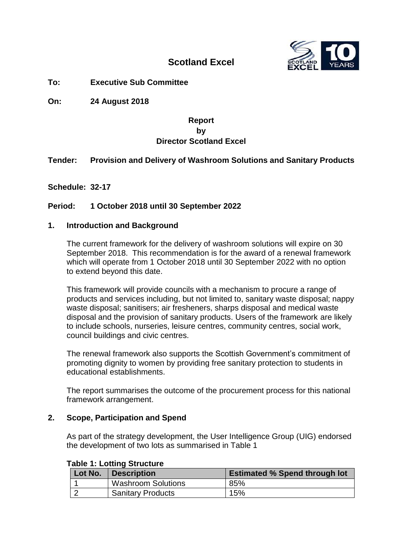

# **Scotland Excel**

**To: Executive Sub Committee**

**On: 24 August 2018**

## **Report by Director Scotland Excel**

## **Tender: Provision and Delivery of Washroom Solutions and Sanitary Products**

**Schedule: 32-17**

## **Period: 1 October 2018 until 30 September 2022**

## **1. Introduction and Background**

The current framework for the delivery of washroom solutions will expire on 30 September 2018. This recommendation is for the award of a renewal framework which will operate from 1 October 2018 until 30 September 2022 with no option to extend beyond this date.

This framework will provide councils with a mechanism to procure a range of products and services including, but not limited to, sanitary waste disposal; nappy waste disposal; sanitisers; air fresheners, sharps disposal and medical waste disposal and the provision of sanitary products. Users of the framework are likely to include schools, nurseries, leisure centres, community centres, social work, council buildings and civic centres.

The renewal framework also supports the Scottish Government's commitment of promoting dignity to women by providing free sanitary protection to students in educational establishments.

The report summarises the outcome of the procurement process for this national framework arrangement.

#### **2. Scope, Participation and Spend**

As part of the strategy development, the User Intelligence Group (UIG) endorsed the development of two lots as summarised in Table 1

# **Table 1: Lotting Structure**

| Lot No. | <b>Description</b>        | <b>Estimated % Spend through lot</b> |
|---------|---------------------------|--------------------------------------|
|         | <b>Washroom Solutions</b> | 85%                                  |
|         | <b>Sanitary Products</b>  | 15%                                  |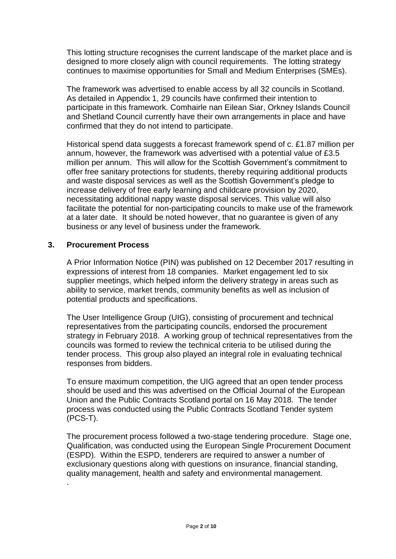This lotting structure recognises the current landscape of the market place and is designed to more closely align with council requirements. The lotting strategy continues to maximise opportunities for Small and Medium Enterprises (SMEs).

The framework was advertised to enable access by all 32 councils in Scotland. As detailed in Appendix 1, 29 councils have confirmed their intention to participate in this framework. Comhairle nan Eilean Siar, Orkney Islands Council and Shetland Council currently have their own arrangements in place and have confirmed that they do not intend to participate.

Historical spend data suggests a forecast framework spend of c. £1.87 million per annum, however, the framework was advertised with a potential value of £3.5 million per annum. This will allow for the Scottish Government's commitment to offer free sanitary protections for students, thereby requiring additional products and waste disposal services as well as the Scottish Government's pledge to increase delivery of free early learning and childcare provision by 2020, necessitating additional nappy waste disposal services. This value will also facilitate the potential for non-participating councils to make use of the framework at a later date. It should be noted however, that no guarantee is given of any business or any level of business under the framework.

## **3. Procurement Process**

.

A Prior Information Notice (PIN) was published on 12 December 2017 resulting in expressions of interest from 18 companies. Market engagement led to six supplier meetings, which helped inform the delivery strategy in areas such as ability to service, market trends, community benefits as well as inclusion of potential products and specifications.

The User Intelligence Group (UIG), consisting of procurement and technical representatives from the participating councils, endorsed the procurement strategy in February 2018. A working group of technical representatives from the councils was formed to review the technical criteria to be utilised during the tender process. This group also played an integral role in evaluating technical responses from bidders.

To ensure maximum competition, the UIG agreed that an open tender process should be used and this was advertised on the Official Journal of the European Union and the Public Contracts Scotland portal on 16 May 2018. The tender process was conducted using the Public Contracts Scotland Tender system (PCS-T).

The procurement process followed a two-stage tendering procedure. Stage one, Qualification, was conducted using the European Single Procurement Document (ESPD). Within the ESPD, tenderers are required to answer a number of exclusionary questions along with questions on insurance, financial standing, quality management, health and safety and environmental management.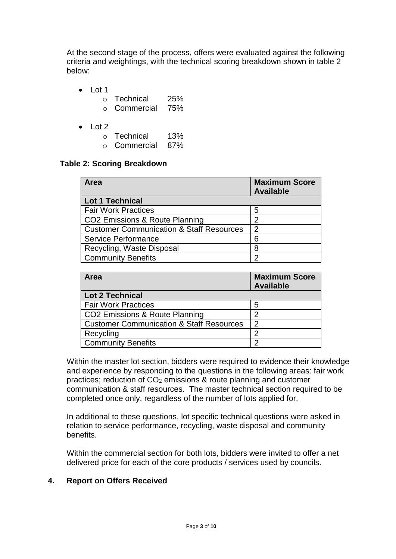At the second stage of the process, offers were evaluated against the following criteria and weightings, with the technical scoring breakdown shown in table 2 below:

- Lot 1
	- o Technical 25%
	- o Commercial 75%
- $\bullet$  Lot 2
	- o Technical 13%
	- o Commercial 87%

## **Table 2: Scoring Breakdown**

| Area                                                | <b>Maximum Score</b><br><b>Available</b> |
|-----------------------------------------------------|------------------------------------------|
| <b>Lot 1 Technical</b>                              |                                          |
| <b>Fair Work Practices</b>                          | 5                                        |
| CO2 Emissions & Route Planning                      | 2                                        |
| <b>Customer Communication &amp; Staff Resources</b> | $\overline{2}$                           |
| <b>Service Performance</b>                          | 6                                        |
| Recycling, Waste Disposal                           | 8                                        |
| <b>Community Benefits</b>                           | າ                                        |

| <b>Area</b>                                         | <b>Maximum Score</b><br><b>Available</b> |
|-----------------------------------------------------|------------------------------------------|
| <b>Lot 2 Technical</b>                              |                                          |
| <b>Fair Work Practices</b>                          | 5                                        |
| CO2 Emissions & Route Planning                      | ာ                                        |
| <b>Customer Communication &amp; Staff Resources</b> | 2                                        |
| Recycling                                           | 2                                        |
| <b>Community Benefits</b>                           | 0                                        |

Within the master lot section, bidders were required to evidence their knowledge and experience by responding to the questions in the following areas: fair work practices; reduction of CO<sup>2</sup> emissions & route planning and customer communication & staff resources. The master technical section required to be completed once only, regardless of the number of lots applied for.

In additional to these questions, lot specific technical questions were asked in relation to service performance, recycling, waste disposal and community benefits.

Within the commercial section for both lots, bidders were invited to offer a net delivered price for each of the core products / services used by councils.

## **4. Report on Offers Received**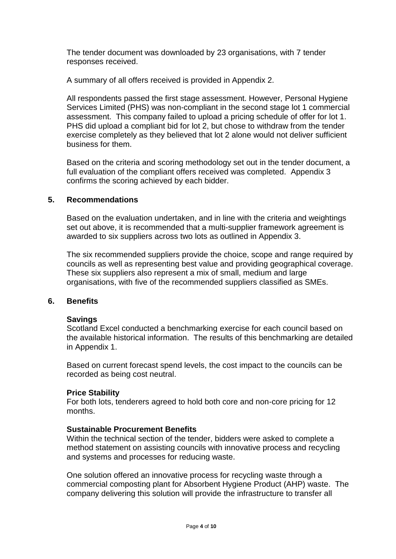The tender document was downloaded by 23 organisations, with 7 tender responses received.

A summary of all offers received is provided in Appendix 2.

All respondents passed the first stage assessment. However, Personal Hygiene Services Limited (PHS) was non-compliant in the second stage lot 1 commercial assessment. This company failed to upload a pricing schedule of offer for lot 1. PHS did upload a compliant bid for lot 2, but chose to withdraw from the tender exercise completely as they believed that lot 2 alone would not deliver sufficient business for them.

Based on the criteria and scoring methodology set out in the tender document, a full evaluation of the compliant offers received was completed. Appendix 3 confirms the scoring achieved by each bidder.

## **5. Recommendations**

Based on the evaluation undertaken, and in line with the criteria and weightings set out above, it is recommended that a multi-supplier framework agreement is awarded to six suppliers across two lots as outlined in Appendix 3.

The six recommended suppliers provide the choice, scope and range required by councils as well as representing best value and providing geographical coverage. These six suppliers also represent a mix of small, medium and large organisations, with five of the recommended suppliers classified as SMEs.

#### **6. Benefits**

#### **Savings**

Scotland Excel conducted a benchmarking exercise for each council based on the available historical information. The results of this benchmarking are detailed in Appendix 1.

Based on current forecast spend levels, the cost impact to the councils can be recorded as being cost neutral.

#### **Price Stability**

For both lots, tenderers agreed to hold both core and non-core pricing for 12 months.

#### **Sustainable Procurement Benefits**

Within the technical section of the tender, bidders were asked to complete a method statement on assisting councils with innovative process and recycling and systems and processes for reducing waste.

One solution offered an innovative process for recycling waste through a commercial composting plant for Absorbent Hygiene Product (AHP) waste. The company delivering this solution will provide the infrastructure to transfer all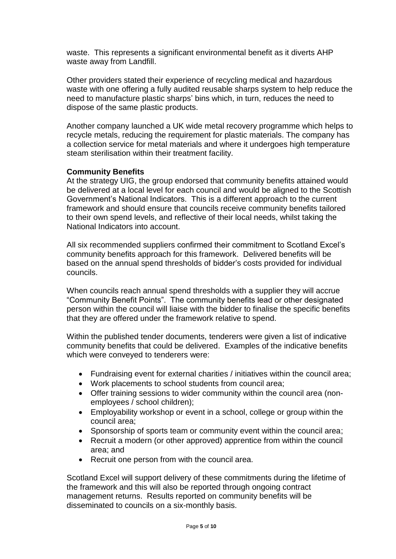waste. This represents a significant environmental benefit as it diverts AHP waste away from Landfill.

Other providers stated their experience of recycling medical and hazardous waste with one offering a fully audited reusable sharps system to help reduce the need to manufacture plastic sharps' bins which, in turn, reduces the need to dispose of the same plastic products.

Another company launched a UK wide metal recovery programme which helps to recycle metals, reducing the requirement for plastic materials. The company has a collection service for metal materials and where it undergoes high temperature steam sterilisation within their treatment facility.

## **Community Benefits**

At the strategy UIG, the group endorsed that community benefits attained would be delivered at a local level for each council and would be aligned to the Scottish Government's National Indicators. This is a different approach to the current framework and should ensure that councils receive community benefits tailored to their own spend levels, and reflective of their local needs, whilst taking the National Indicators into account.

All six recommended suppliers confirmed their commitment to Scotland Excel's community benefits approach for this framework. Delivered benefits will be based on the annual spend thresholds of bidder's costs provided for individual councils.

When councils reach annual spend thresholds with a supplier they will accrue "Community Benefit Points". The community benefits lead or other designated person within the council will liaise with the bidder to finalise the specific benefits that they are offered under the framework relative to spend.

Within the published tender documents, tenderers were given a list of indicative community benefits that could be delivered. Examples of the indicative benefits which were conveyed to tenderers were:

- Fundraising event for external charities / initiatives within the council area;
- Work placements to school students from council area;
- Offer training sessions to wider community within the council area (nonemployees / school children);
- Employability workshop or event in a school, college or group within the council area;
- Sponsorship of sports team or community event within the council area;
- Recruit a modern (or other approved) apprentice from within the council area; and
- Recruit one person from with the council area.

Scotland Excel will support delivery of these commitments during the lifetime of the framework and this will also be reported through ongoing contract management returns. Results reported on community benefits will be disseminated to councils on a six-monthly basis.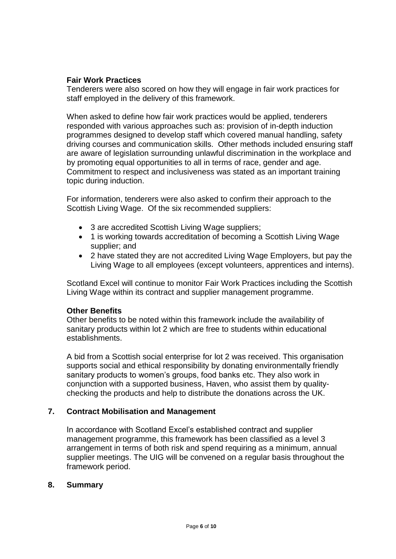## **Fair Work Practices**

Tenderers were also scored on how they will engage in fair work practices for staff employed in the delivery of this framework.

When asked to define how fair work practices would be applied, tenderers responded with various approaches such as: provision of in-depth induction programmes designed to develop staff which covered manual handling, safety driving courses and communication skills. Other methods included ensuring staff are aware of legislation surrounding unlawful discrimination in the workplace and by promoting equal opportunities to all in terms of race, gender and age. Commitment to respect and inclusiveness was stated as an important training topic during induction.

For information, tenderers were also asked to confirm their approach to the Scottish Living Wage. Of the six recommended suppliers:

- 3 are accredited Scottish Living Wage suppliers;
- 1 is working towards accreditation of becoming a Scottish Living Wage supplier; and
- 2 have stated they are not accredited Living Wage Employers, but pay the Living Wage to all employees (except volunteers, apprentices and interns).

Scotland Excel will continue to monitor Fair Work Practices including the Scottish Living Wage within its contract and supplier management programme.

## **Other Benefits**

Other benefits to be noted within this framework include the availability of sanitary products within lot 2 which are free to students within educational establishments.

A bid from a Scottish social enterprise for lot 2 was received. This organisation supports social and ethical responsibility by donating environmentally friendly sanitary products to women's groups, food banks etc. They also work in conjunction with a supported business, Haven, who assist them by qualitychecking the products and help to distribute the donations across the UK.

## **7. Contract Mobilisation and Management**

In accordance with Scotland Excel's established contract and supplier management programme, this framework has been classified as a level 3 arrangement in terms of both risk and spend requiring as a minimum, annual supplier meetings. The UIG will be convened on a regular basis throughout the framework period.

## **8. Summary**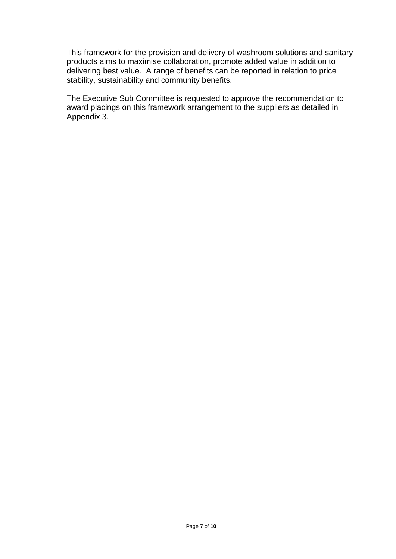This framework for the provision and delivery of washroom solutions and sanitary products aims to maximise collaboration, promote added value in addition to delivering best value. A range of benefits can be reported in relation to price stability, sustainability and community benefits.

The Executive Sub Committee is requested to approve the recommendation to award placings on this framework arrangement to the suppliers as detailed in Appendix 3.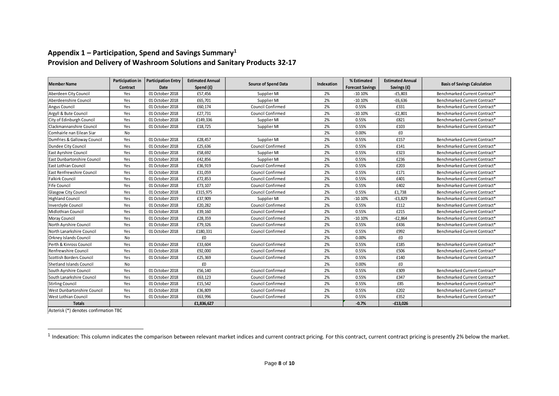## **Appendix 1 – Participation, Spend and Savings Summary<sup>1</sup> Provision and Delivery of Washroom Solutions and Sanitary Products 32-17**

| <b>Member Name</b>          | Participation in | <b>Participation Entry</b> | <b>Estimated Annual</b> |                             | Indexation | % Estimated             | <b>Estimated Annual</b> |                                     |  |
|-----------------------------|------------------|----------------------------|-------------------------|-----------------------------|------------|-------------------------|-------------------------|-------------------------------------|--|
|                             | Contract         | Date                       | Spend (£)               | <b>Source of Spend Data</b> |            | <b>Forecast Savings</b> | Savings (£)             | <b>Basis of Savings Calculation</b> |  |
| Aberdeen City Council       | Yes              | 01 October 2018            | £57,456                 | Supplier MI                 | 2%         | $-10.10%$               | $-£5,803$               | Benchmarked Current Contract*       |  |
| Aberdeenshire Council       | Yes              | 01 October 2018            | £65,701                 | Supplier MI                 | 2%         | $-10.10%$               | $-£6,636$               | Benchmarked Current Contract*       |  |
| Angus Council               | Yes              | 01 October 2018            | £60,174                 | <b>Council Confirmed</b>    | 2%         | 0.55%                   | £331                    | Benchmarked Current Contract*       |  |
| Argyll & Bute Council       | Yes              | 01 October 2018            | £27,731                 | Council Confirmed           | 2%         | $-10.10%$               | $-E2,801$               | Benchmarked Current Contract*       |  |
| City of Edinburgh Council   | Yes              | 01 October 2018            | £149,336                | Supplier MI                 | 2%         | 0.55%                   | £821                    | Benchmarked Current Contract*       |  |
| Clackmannanshire Council    | Yes              | 01 October 2018            | £18,725                 | Supplier MI                 | 2%         | 0.55%                   | £103                    | Benchmarked Current Contract*       |  |
| Comhairle nan Eilean Siar   | No               |                            |                         |                             | 2%         | 0.00%                   | £0                      |                                     |  |
| Dumfries & Galloway Council | Yes              | 01 October 2018            | £28,457                 | Supplier MI                 | 2%         | 0.55%                   | £157                    | Benchmarked Current Contract*       |  |
| Dundee City Council         | Yes              | 01 October 2018            | £25,636                 | Council Confirmed           | 2%         | 0.55%                   | £141                    | Benchmarked Current Contract*       |  |
| East Ayrshire Council       | Yes              | 01 October 2018            | £58,692                 | Supplier MI                 | 2%         | 0.55%                   | £323                    | Benchmarked Current Contract*       |  |
| East Dunbartonshire Council | Yes              | 01 October 2018            | £42,856                 | Supplier MI                 | 2%         | 0.55%                   | £236                    | Benchmarked Current Contract*       |  |
| East Lothian Council        | Yes              | 01 October 2018            | £36,919                 | Council Confirmed           | 2%         | 0.55%                   | £203                    | Benchmarked Current Contract*       |  |
| East Renfrewshire Council   | Yes              | 01 October 2018            | £31,059                 | Council Confirmed           | 2%         | 0.55%                   | £171                    | Benchmarked Current Contract*       |  |
| <b>Falkirk Council</b>      | Yes              | 01 October 2018            | £72,853                 | Council Confirmed           | 2%         | 0.55%                   | £401                    | Benchmarked Current Contract*       |  |
| Fife Council                | Yes              | 01 October 2018            | £73,107                 | Council Confirmed           | 2%         | 0.55%                   | £402                    | Benchmarked Current Contract*       |  |
| Glasgow City Council        | Yes              | 01 October 2018            | £315,975                | Council Confirmed           | 2%         | 0.55%                   | £1,738                  | Benchmarked Current Contract*       |  |
| <b>Highland Council</b>     | Yes              | 01 October 2019            | £37,909                 | Supplier MI                 | 2%         | $-10.10%$               | $-£3,829$               | Benchmarked Current Contract*       |  |
| Inverclyde Council          | Yes              | 01 October 2018            | £20,282                 | Council Confirmed           | 2%         | 0.55%                   | £112                    | Benchmarked Current Contract*       |  |
| Midlothian Council          | Yes              | 01 October 2018            | £39,160                 | Council Confirmed           | 2%         | 0.55%                   | £215                    | Benchmarked Current Contract*       |  |
| Moray Council               | Yes              | 01 October 2018            | £28,359                 | Council Confirmed           | 2%         | $-10.10%$               | $-E2,864$               | Benchmarked Current Contract*       |  |
| North Ayrshire Council      | Yes              | 01 October 2018            | £79,326                 | Council Confirmed           | 2%         | 0.55%                   | £436                    | Benchmarked Current Contract*       |  |
| North Lanarkshire Council   | Yes              | 01 October 2018            | £180,331                | <b>Council Confirmed</b>    | 2%         | 0.55%                   | £992                    | Benchmarked Current Contract*       |  |
| Orkney Islands Council      | No               |                            | £0                      |                             | 2%         | 0.00%                   | £0                      |                                     |  |
| Perth & Kinross Council     | Yes              | 01 October 2018            | £33,604                 | <b>Council Confirmed</b>    | 2%         | 0.55%                   | £185                    | Benchmarked Current Contract*       |  |
| <b>Renfrewshire Council</b> | Yes              | 01 October 2018            | £92,000                 | Council Confirmed           | 2%         | 0.55%                   | £506                    | Benchmarked Current Contract*       |  |
| Scottish Borders Council    | Yes              | 01 October 2018            | £25,369                 | Council Confirmed           | 2%         | 0.55%                   | £140                    | Benchmarked Current Contract*       |  |
| Shetland Islands Council    | No               |                            | £0                      |                             | 2%         | 0.00%                   | £0                      |                                     |  |
| South Ayrshire Council      | Yes              | 01 October 2018            | £56,140                 | Council Confirmed           | 2%         | 0.55%                   | £309                    | Benchmarked Current Contract*       |  |
| South Lanarkshire Council   | Yes              | 01 October 2018            | £63,123                 | Council Confirmed           | 2%         | 0.55%                   | £347                    | Benchmarked Current Contract*       |  |
| <b>Stirling Council</b>     | Yes              | 01 October 2018            | £15,542                 | Council Confirmed           | 2%         | 0.55%                   | £85                     | Benchmarked Current Contract*       |  |
| West Dunbartonshire Council | Yes              | 01 October 2018            | £36,809                 | Council Confirmed           | 2%         | 0.55%                   | £202                    | Benchmarked Current Contract*       |  |
| <b>West Lothian Council</b> | Yes              | 01 October 2018            | £63,996                 | <b>Council Confirmed</b>    | 2%         | 0.55%                   | £352                    | Benchmarked Current Contract*       |  |
| <b>Totals</b>               |                  |                            | £1,836,627              |                             |            | $-0.7%$                 | $-£13,026$              |                                     |  |

Asterisk (\*) denotes confirmation TBC

<u>.</u>

<sup>&</sup>lt;sup>1</sup> Indexation: This column indicates the comparison between relevant market indices and current contract pricing. For this contract, current contract pricing is presently 2% below the market.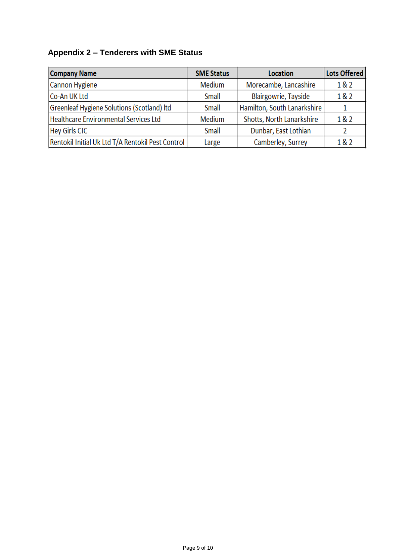# **Appendix 2 – Tenderers with SME Status**

| <b>Company Name</b>                               | <b>SME Status</b> | <b>Location</b>             | <b>Lots Offered</b> |
|---------------------------------------------------|-------------------|-----------------------------|---------------------|
| Cannon Hygiene                                    | <b>Medium</b>     | Morecambe, Lancashire       | 182                 |
| Co-An UK Ltd                                      | Small             | <b>Blairgowrie, Tayside</b> | 182                 |
| Greenleaf Hygiene Solutions (Scotland) Itd        | Small             | Hamilton, South Lanarkshire |                     |
| Healthcare Environmental Services Ltd             | Medium            | Shotts, North Lanarkshire   | 1&2                 |
| <b>Hey Girls CIC</b>                              | Small             | Dunbar, East Lothian        |                     |
| Rentokil Initial Uk Ltd T/A Rentokil Pest Control | Large             | Camberley, Surrey           | 1&2                 |